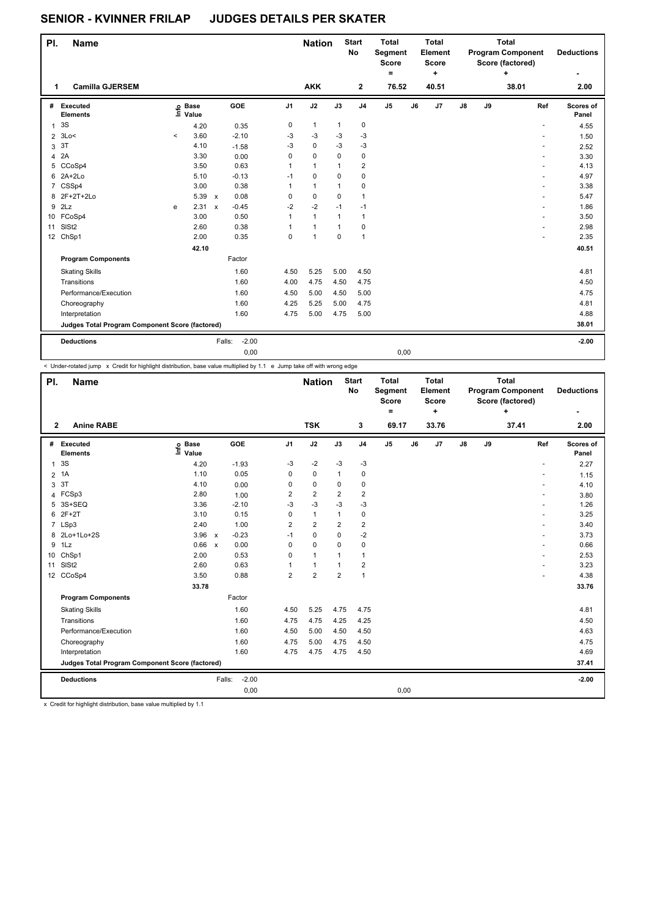## **SENIOR - KVINNER FRILAP JUDGES DETAILS PER SKATER**

| PI.            | <b>Name</b>                                     |         |                   |              |         |                | <b>Nation</b> |              | <b>Start</b><br><b>No</b> | <b>Total</b><br>Segment<br><b>Score</b><br>Ξ. |    | <b>Total</b><br>Element<br><b>Score</b><br>٠ |            |    | <b>Total</b><br><b>Program Component</b><br>Score (factored)<br>÷ | <b>Deductions</b>  |
|----------------|-------------------------------------------------|---------|-------------------|--------------|---------|----------------|---------------|--------------|---------------------------|-----------------------------------------------|----|----------------------------------------------|------------|----|-------------------------------------------------------------------|--------------------|
| 1              | <b>Camilla GJERSEM</b>                          |         |                   |              |         |                | <b>AKK</b>    |              | 2                         | 76.52                                         |    | 40.51                                        |            |    | 38.01                                                             | 2.00               |
| #              | Executed<br><b>Elements</b>                     |         | e Base<br>⊆ Value |              | GOE     | J <sub>1</sub> | J2            | J3           | J <sub>4</sub>            | J <sub>5</sub>                                | J6 | J7                                           | ${\sf J8}$ | J9 | Ref                                                               | Scores of<br>Panel |
| 1              | 3S                                              |         | 4.20              |              | 0.35    | 0              | $\mathbf{1}$  | $\mathbf{1}$ | $\mathbf 0$               |                                               |    |                                              |            |    | ٠                                                                 | 4.55               |
| $\overline{2}$ | 3Lo<                                            | $\prec$ | 3.60              |              | $-2.10$ | $-3$           | $-3$          | $-3$         | $-3$                      |                                               |    |                                              |            |    |                                                                   | 1.50               |
| 3              | 3T                                              |         | 4.10              |              | $-1.58$ | $-3$           | $\pmb{0}$     | $-3$         | $-3$                      |                                               |    |                                              |            |    | ٠                                                                 | 2.52               |
| 4              | 2A                                              |         | 3.30              |              | 0.00    | 0              | $\Omega$      | $\Omega$     | $\mathbf 0$               |                                               |    |                                              |            |    | ÷.                                                                | 3.30               |
| 5              | CCoSp4                                          |         | 3.50              |              | 0.63    | 1              | $\mathbf{1}$  | 1            | $\overline{\mathbf{c}}$   |                                               |    |                                              |            |    |                                                                   | 4.13               |
|                | 6 2A+2Lo                                        |         | 5.10              |              | $-0.13$ | $-1$           | $\mathbf 0$   | 0            | 0                         |                                               |    |                                              |            |    |                                                                   | 4.97               |
|                | 7 CSSp4                                         |         | 3.00              |              | 0.38    | 1              | $\mathbf{1}$  | $\mathbf{1}$ | $\mathbf 0$               |                                               |    |                                              |            |    |                                                                   | 3.38               |
|                | 8 2F+2T+2Lo                                     |         | 5.39              | $\mathsf{x}$ | 0.08    | 0              | $\mathbf 0$   | $\Omega$     | $\overline{1}$            |                                               |    |                                              |            |    |                                                                   | 5.47               |
| 9              | 2Lz                                             | e       | 2.31              | $\mathsf{x}$ | $-0.45$ | $-2$           | $-2$          | $-1$         | $-1$                      |                                               |    |                                              |            |    | ÷                                                                 | 1.86               |
|                | 10 FCoSp4                                       |         | 3.00              |              | 0.50    | $\mathbf{1}$   | $\mathbf{1}$  | $\mathbf{1}$ | $\mathbf{1}$              |                                               |    |                                              |            |    |                                                                   | 3.50               |
| 11             | SISt <sub>2</sub>                               |         | 2.60              |              | 0.38    | 1              | $\mathbf{1}$  | $\mathbf{1}$ | $\mathbf 0$               |                                               |    |                                              |            |    |                                                                   | 2.98               |
|                | 12 ChSp1                                        |         | 2.00              |              | 0.35    | 0              | $\mathbf{1}$  | $\Omega$     | $\overline{1}$            |                                               |    |                                              |            |    |                                                                   | 2.35               |
|                |                                                 |         | 42.10             |              |         |                |               |              |                           |                                               |    |                                              |            |    |                                                                   | 40.51              |
|                | <b>Program Components</b>                       |         |                   |              | Factor  |                |               |              |                           |                                               |    |                                              |            |    |                                                                   |                    |
|                | <b>Skating Skills</b>                           |         |                   |              | 1.60    | 4.50           | 5.25          | 5.00         | 4.50                      |                                               |    |                                              |            |    |                                                                   | 4.81               |
|                | Transitions                                     |         |                   |              | 1.60    | 4.00           | 4.75          | 4.50         | 4.75                      |                                               |    |                                              |            |    |                                                                   | 4.50               |
|                | Performance/Execution                           |         |                   |              | 1.60    | 4.50           | 5.00          | 4.50         | 5.00                      |                                               |    |                                              |            |    |                                                                   | 4.75               |
|                | Choreography                                    |         |                   |              | 1.60    | 4.25           | 5.25          | 5.00         | 4.75                      |                                               |    |                                              |            |    |                                                                   | 4.81               |
|                | Interpretation                                  |         |                   |              | 1.60    | 4.75           | 5.00          | 4.75         | 5.00                      |                                               |    |                                              |            |    |                                                                   | 4.88               |
|                | Judges Total Program Component Score (factored) |         |                   |              |         |                |               |              |                           |                                               |    |                                              |            |    |                                                                   | 38.01              |
|                | <b>Deductions</b>                               |         |                   | Falls:       | $-2.00$ |                |               |              |                           |                                               |    |                                              |            |    |                                                                   | $-2.00$            |
|                |                                                 |         |                   |              | 0,00    |                |               |              |                           | 0,00                                          |    |                                              |            |    |                                                                   |                    |

< Under-rotated jump x Credit for highlight distribution, base value multiplied by 1.1 e Jump take off with wrong edge

| PI.            | <b>Name</b>                                     |                              |                         |                | <b>Nation</b>  |                | <b>Start</b><br><b>No</b> | <b>Total</b><br>Segment<br><b>Score</b><br>= |    | <b>Total</b><br>Element<br><b>Score</b><br>$\ddot{}$ |               |    | <b>Total</b><br><b>Program Component</b><br>Score (factored)<br>÷ | <b>Deductions</b>  |
|----------------|-------------------------------------------------|------------------------------|-------------------------|----------------|----------------|----------------|---------------------------|----------------------------------------------|----|------------------------------------------------------|---------------|----|-------------------------------------------------------------------|--------------------|
| $\mathbf{2}$   | <b>Anine RABE</b>                               |                              |                         |                | <b>TSK</b>     |                | 3                         | 69.17                                        |    | 33.76                                                |               |    | 37.41                                                             | 2.00               |
| #              | <b>Executed</b><br><b>Elements</b>              | <b>Base</b><br>Info<br>Value | GOE                     | J <sub>1</sub> | J2             | J3             | J <sub>4</sub>            | $\mathsf{J}5$                                | J6 | J7                                                   | $\mathsf{J}8$ | J9 | Ref                                                               | Scores of<br>Panel |
| 1              | 3S                                              | 4.20                         | $-1.93$                 | -3             | $-2$           | $-3$           | $-3$                      |                                              |    |                                                      |               |    | $\sim$                                                            | 2.27               |
| $\overline{2}$ | 1A                                              | 1.10                         | 0.05                    | 0              | $\mathbf 0$    | 1              | $\pmb{0}$                 |                                              |    |                                                      |               |    |                                                                   | 1.15               |
| 3              | 3T                                              | 4.10                         | 0.00                    | 0              | $\mathbf 0$    | 0              | $\pmb{0}$                 |                                              |    |                                                      |               |    |                                                                   | 4.10               |
| 4              | FCSp3                                           | 2.80                         | 1.00                    | 2              | $\overline{2}$ | $\overline{2}$ | $\overline{2}$            |                                              |    |                                                      |               |    | $\overline{\phantom{a}}$                                          | 3.80               |
| 5              | 3S+SEQ                                          | 3.36                         | $-2.10$                 | $-3$           | $-3$           | $-3$           | $-3$                      |                                              |    |                                                      |               |    |                                                                   | 1.26               |
| 6              | $2F+2T$                                         | 3.10                         | 0.15                    | 0              | $\mathbf{1}$   | $\mathbf{1}$   | $\pmb{0}$                 |                                              |    |                                                      |               |    |                                                                   | 3.25               |
|                | 7 LSp3                                          | 2.40                         | 1.00                    | 2              | $\overline{2}$ | 2              | $\overline{2}$            |                                              |    |                                                      |               |    |                                                                   | 3.40               |
|                | 8 2Lo+1Lo+2S                                    | 3.96                         | $-0.23$<br>$\mathsf{x}$ | $-1$           | $\mathbf 0$    | $\Omega$       | $-2$                      |                                              |    |                                                      |               |    |                                                                   | 3.73               |
| 9              | 1Lz                                             | 0.66                         | 0.00<br>$\mathsf{x}$    | 0              | $\mathbf 0$    | $\Omega$       | $\pmb{0}$                 |                                              |    |                                                      |               |    |                                                                   | 0.66               |
| 10             | ChSp1                                           | 2.00                         | 0.53                    | 0              | $\mathbf{1}$   | 1              | $\mathbf{1}$              |                                              |    |                                                      |               |    |                                                                   | 2.53               |
| 11             | SISt <sub>2</sub>                               | 2.60                         | 0.63                    |                | $\mathbf{1}$   |                | $\overline{\mathbf{c}}$   |                                              |    |                                                      |               |    |                                                                   | 3.23               |
|                | 12 CCoSp4                                       | 3.50                         | 0.88                    | $\overline{2}$ | $\overline{2}$ | $\overline{2}$ | $\mathbf{1}$              |                                              |    |                                                      |               |    |                                                                   | 4.38               |
|                |                                                 | 33.78                        |                         |                |                |                |                           |                                              |    |                                                      |               |    |                                                                   | 33.76              |
|                | <b>Program Components</b>                       |                              | Factor                  |                |                |                |                           |                                              |    |                                                      |               |    |                                                                   |                    |
|                | <b>Skating Skills</b>                           |                              | 1.60                    | 4.50           | 5.25           | 4.75           | 4.75                      |                                              |    |                                                      |               |    |                                                                   | 4.81               |
|                | Transitions                                     |                              | 1.60                    | 4.75           | 4.75           | 4.25           | 4.25                      |                                              |    |                                                      |               |    |                                                                   | 4.50               |
|                | Performance/Execution                           |                              | 1.60                    | 4.50           | 5.00           | 4.50           | 4.50                      |                                              |    |                                                      |               |    |                                                                   | 4.63               |
|                | Choreography                                    |                              | 1.60                    | 4.75           | 5.00           | 4.75           | 4.50                      |                                              |    |                                                      |               |    |                                                                   | 4.75               |
|                | Interpretation                                  |                              | 1.60                    | 4.75           | 4.75           | 4.75           | 4.50                      |                                              |    |                                                      |               |    |                                                                   | 4.69               |
|                | Judges Total Program Component Score (factored) |                              |                         |                |                |                |                           |                                              |    |                                                      |               |    |                                                                   | 37.41              |
|                | <b>Deductions</b>                               |                              | $-2.00$<br>Falls:       |                |                |                |                           |                                              |    |                                                      |               |    |                                                                   | $-2.00$            |
|                |                                                 |                              | 0,00                    |                |                |                |                           | 0,00                                         |    |                                                      |               |    |                                                                   |                    |

x Credit for highlight distribution, base value multiplied by 1.1